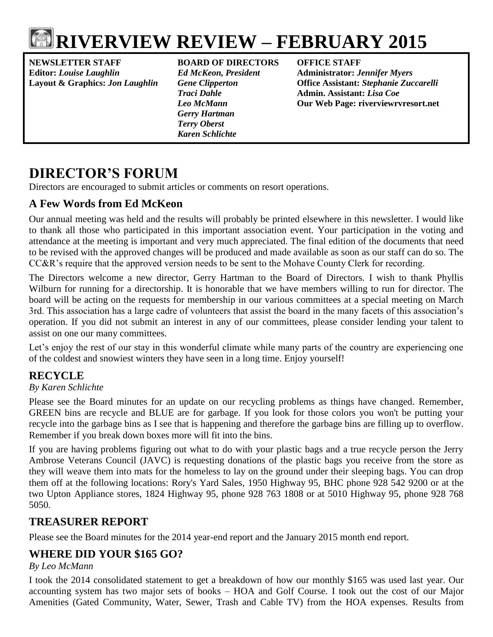

# **RIVERVIEW REVIEW – FEBRUARY 2015**

**NEWSLETTER STAFF BOARD OF DIRECTORS OFFICE STAFF Editor:** *Louise Laughlin Ed McKeon, President* **Administrator:** *Jennifer Myers*

*Gerry Hartman Terry Oberst Karen Schlichte*

**Layout & Graphics:** *Jon Laughlin Gene Clipperton* **Office Assistant:** *Stephanie Zuccarelli Traci Dahle* **Admin. Assistant:** *Lisa Coe Leo McMann* **Our Web Page: riverviewrvresort.net**

## **DIRECTOR'S FORUM**

Directors are encouraged to submit articles or comments on resort operations.

### **A Few Words from Ed McKeon**

Our annual meeting was held and the results will probably be printed elsewhere in this newsletter. I would like to thank all those who participated in this important association event. Your participation in the voting and attendance at the meeting is important and very much appreciated. The final edition of the documents that need to be revised with the approved changes will be produced and made available as soon as our staff can do so. The CC&R's require that the approved version needs to be sent to the Mohave County Clerk for recording.

The Directors welcome a new director, Gerry Hartman to the Board of Directors. I wish to thank Phyllis Wilburn for running for a directorship. It is honorable that we have members willing to run for director. The board will be acting on the requests for membership in our various committees at a special meeting on March 3rd. This association has a large cadre of volunteers that assist the board in the many facets of this association's operation. If you did not submit an interest in any of our committees, please consider lending your talent to assist on one our many committees.

Let's enjoy the rest of our stay in this wonderful climate while many parts of the country are experiencing one of the coldest and snowiest winters they have seen in a long time. Enjoy yourself!

### **RECYCLE**

### *By Karen Schlichte*

Please see the Board minutes for an update on our recycling problems as things have changed. Remember, GREEN bins are recycle and BLUE are for garbage. If you look for those colors you won't be putting your recycle into the garbage bins as I see that is happening and therefore the garbage bins are filling up to overflow. Remember if you break down boxes more will fit into the bins.

If you are having problems figuring out what to do with your plastic bags and a true recycle person the Jerry Ambrose Veterans Council (JAVC) is requesting donations of the plastic bags you receive from the store as they will weave them into mats for the homeless to lay on the ground under their sleeping bags. You can drop them off at the following locations: Rory's Yard Sales, 1950 Highway 95, BHC phone 928 542 9200 or at the two Upton Appliance stores, 1824 Highway 95, phone 928 763 1808 or at 5010 Highway 95, phone 928 768 5050.

### **TREASURER REPORT**

Please see the Board minutes for the 2014 year-end report and the January 2015 month end report.

### **WHERE DID YOUR \$165 GO?**

*By Leo McMann*

I took the 2014 consolidated statement to get a breakdown of how our monthly \$165 was used last year. Our accounting system has two major sets of books – HOA and Golf Course. I took out the cost of our Major Amenities (Gated Community, Water, Sewer, Trash and Cable TV) from the HOA expenses. Results from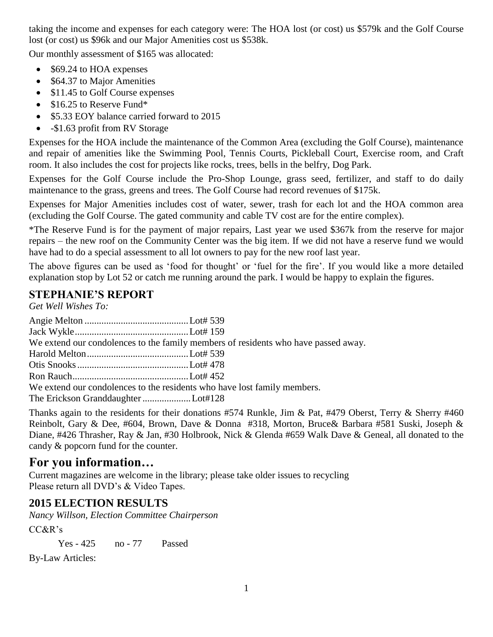taking the income and expenses for each category were: The HOA lost (or cost) us \$579k and the Golf Course lost (or cost) us \$96k and our Major Amenities cost us \$538k.

Our monthly assessment of \$165 was allocated:

- \$69.24 to HOA expenses
- \$64.37 to Major Amenities
- \$11.45 to Golf Course expenses
- \$16.25 to Reserve Fund\*
- \$5.33 EOY balance carried forward to 2015
- - \$1.63 profit from RV Storage

Expenses for the HOA include the maintenance of the Common Area (excluding the Golf Course), maintenance and repair of amenities like the Swimming Pool, Tennis Courts, Pickleball Court, Exercise room, and Craft room. It also includes the cost for projects like rocks, trees, bells in the belfry, Dog Park.

Expenses for the Golf Course include the Pro-Shop Lounge, grass seed, fertilizer, and staff to do daily maintenance to the grass, greens and trees. The Golf Course had record revenues of \$175k.

Expenses for Major Amenities includes cost of water, sewer, trash for each lot and the HOA common area (excluding the Golf Course. The gated community and cable TV cost are for the entire complex).

\*The Reserve Fund is for the payment of major repairs, Last year we used \$367k from the reserve for major repairs – the new roof on the Community Center was the big item. If we did not have a reserve fund we would have had to do a special assessment to all lot owners to pay for the new roof last year.

The above figures can be used as 'food for thought' or 'fuel for the fire'. If you would like a more detailed explanation stop by Lot 52 or catch me running around the park. I would be happy to explain the figures.

### **STEPHANIE'S REPORT**

*Get Well Wishes To:*

|                                                                          | We extend our condolences to the family members of residents who have passed away. |
|--------------------------------------------------------------------------|------------------------------------------------------------------------------------|
|                                                                          |                                                                                    |
|                                                                          |                                                                                    |
|                                                                          |                                                                                    |
| We extend our condolences to the residents who have lost family members. |                                                                                    |
| The Erickson Granddaughter Lot#128                                       |                                                                                    |

Thanks again to the residents for their donations #574 Runkle, Jim & Pat, #479 Oberst, Terry & Sherry #460 Reinbolt, Gary & Dee, #604, Brown, Dave & Donna #318, Morton, Bruce& Barbara #581 Suski, Joseph & Diane, #426 Thrasher, Ray & Jan, #30 Holbrook, Nick & Glenda #659 Walk Dave & Geneal, all donated to the candy & popcorn fund for the counter.

### **For you information…**

Current magazines are welcome in the library; please take older issues to recycling Please return all DVD's & Video Tapes.

### **2015 ELECTION RESULTS**

*Nancy Willson, Election Committee Chairperson*

CC&R's

Yes - 425 no - 77 Passed

By-Law Articles: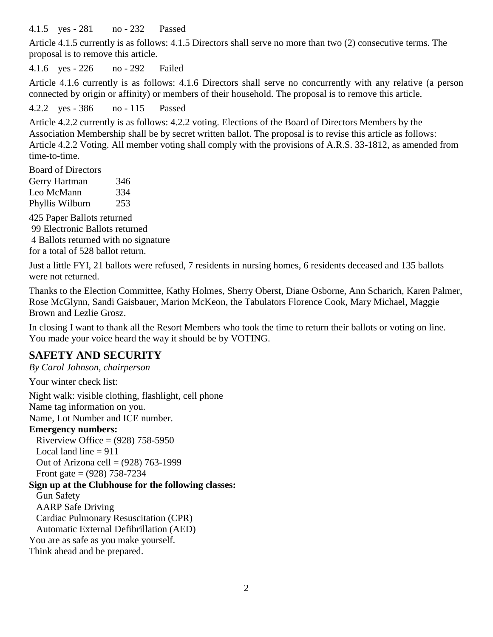4.1.5 yes - 281 no - 232 Passed

Article 4.1.5 currently is as follows: 4.1.5 Directors shall serve no more than two (2) consecutive terms. The proposal is to remove this article.

4.1.6 yes - 226 no - 292 Failed

Article 4.1.6 currently is as follows: 4.1.6 Directors shall serve no concurrently with any relative (a person connected by origin or affinity) or members of their household. The proposal is to remove this article.

4.2.2 yes - 386 no - 115 Passed

Article 4.2.2 currently is as follows: 4.2.2 voting. Elections of the Board of Directors Members by the Association Membership shall be by secret written ballot. The proposal is to revise this article as follows: Article 4.2.2 Voting. All member voting shall comply with the provisions of A.R.S. 33-1812, as amended from time-to-time.

Board of Directors Gerry Hartman 346 Leo McMann 334 Phyllis Wilburn 253

425 Paper Ballots returned 99 Electronic Ballots returned 4 Ballots returned with no signature for a total of 528 ballot return.

Just a little FYI, 21 ballots were refused, 7 residents in nursing homes, 6 residents deceased and 135 ballots were not returned.

Thanks to the Election Committee, Kathy Holmes, Sherry Oberst, Diane Osborne, Ann Scharich, Karen Palmer, Rose McGlynn, Sandi Gaisbauer, Marion McKeon, the Tabulators Florence Cook, Mary Michael, Maggie Brown and Lezlie Grosz.

In closing I want to thank all the Resort Members who took the time to return their ballots or voting on line. You made your voice heard the way it should be by VOTING.

### **SAFETY AND SECURITY**

*By Carol Johnson, chairperson*

Your winter check list:

Night walk: visible clothing, flashlight, cell phone Name tag information on you.

Name, Lot Number and ICE number.

#### **Emergency numbers:**

Riverview Office =  $(928)$  758-5950 Local land line  $= 911$ Out of Arizona cell =  $(928)$  763-1999

Front gate =  $(928)$  758-7234 **Sign up at the Clubhouse for the following classes:**

Gun Safety AARP Safe Driving Cardiac Pulmonary Resuscitation (CPR) Automatic External Defibrillation (AED)

You are as safe as you make yourself.

Think ahead and be prepared.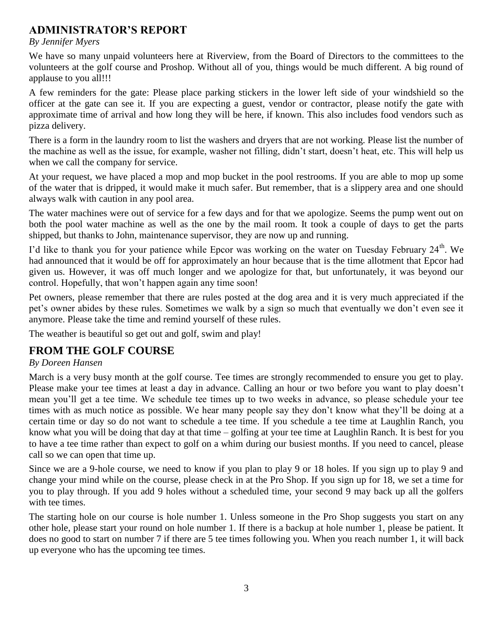### **ADMINISTRATOR'S REPORT**

#### *By Jennifer Myers*

We have so many unpaid volunteers here at Riverview, from the Board of Directors to the committees to the volunteers at the golf course and Proshop. Without all of you, things would be much different. A big round of applause to you all!!!

A few reminders for the gate: Please place parking stickers in the lower left side of your windshield so the officer at the gate can see it. If you are expecting a guest, vendor or contractor, please notify the gate with approximate time of arrival and how long they will be here, if known. This also includes food vendors such as pizza delivery.

There is a form in the laundry room to list the washers and dryers that are not working. Please list the number of the machine as well as the issue, for example, washer not filling, didn't start, doesn't heat, etc. This will help us when we call the company for service.

At your request, we have placed a mop and mop bucket in the pool restrooms. If you are able to mop up some of the water that is dripped, it would make it much safer. But remember, that is a slippery area and one should always walk with caution in any pool area.

The water machines were out of service for a few days and for that we apologize. Seems the pump went out on both the pool water machine as well as the one by the mail room. It took a couple of days to get the parts shipped, but thanks to John, maintenance supervisor, they are now up and running.

I'd like to thank you for your patience while Epcor was working on the water on Tuesday February 24<sup>th</sup>. We had announced that it would be off for approximately an hour because that is the time allotment that Epcor had given us. However, it was off much longer and we apologize for that, but unfortunately, it was beyond our control. Hopefully, that won't happen again any time soon!

Pet owners, please remember that there are rules posted at the dog area and it is very much appreciated if the pet's owner abides by these rules. Sometimes we walk by a sign so much that eventually we don't even see it anymore. Please take the time and remind yourself of these rules.

The weather is beautiful so get out and golf, swim and play!

### **FROM THE GOLF COURSE**

### *By Doreen Hansen*

March is a very busy month at the golf course. Tee times are strongly recommended to ensure you get to play. Please make your tee times at least a day in advance. Calling an hour or two before you want to play doesn't mean you'll get a tee time. We schedule tee times up to two weeks in advance, so please schedule your tee times with as much notice as possible. We hear many people say they don't know what they'll be doing at a certain time or day so do not want to schedule a tee time. If you schedule a tee time at Laughlin Ranch, you know what you will be doing that day at that time – golfing at your tee time at Laughlin Ranch. It is best for you to have a tee time rather than expect to golf on a whim during our busiest months. If you need to cancel, please call so we can open that time up.

Since we are a 9-hole course, we need to know if you plan to play 9 or 18 holes. If you sign up to play 9 and change your mind while on the course, please check in at the Pro Shop. If you sign up for 18, we set a time for you to play through. If you add 9 holes without a scheduled time, your second 9 may back up all the golfers with tee times.

The starting hole on our course is hole number 1. Unless someone in the Pro Shop suggests you start on any other hole, please start your round on hole number 1. If there is a backup at hole number 1, please be patient. It does no good to start on number 7 if there are 5 tee times following you. When you reach number 1, it will back up everyone who has the upcoming tee times.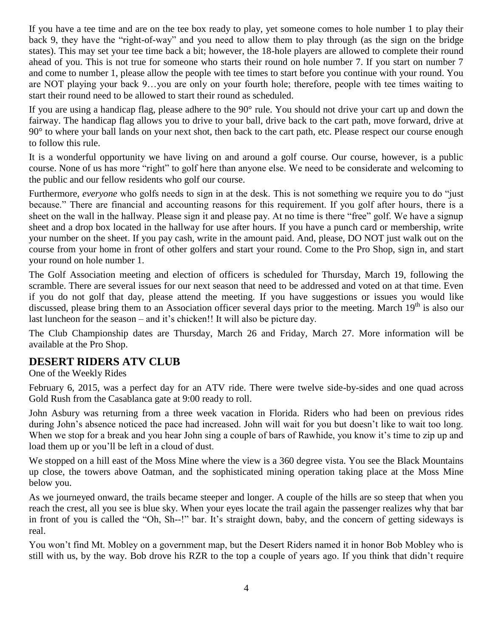If you have a tee time and are on the tee box ready to play, yet someone comes to hole number 1 to play their back 9, they have the "right-of-way" and you need to allow them to play through (as the sign on the bridge states). This may set your tee time back a bit; however, the 18-hole players are allowed to complete their round ahead of you. This is not true for someone who starts their round on hole number 7. If you start on number 7 and come to number 1, please allow the people with tee times to start before you continue with your round. You are NOT playing your back 9…you are only on your fourth hole; therefore, people with tee times waiting to start their round need to be allowed to start their round as scheduled.

If you are using a handicap flag, please adhere to the 90° rule. You should not drive your cart up and down the fairway. The handicap flag allows you to drive to your ball, drive back to the cart path, move forward, drive at 90° to where your ball lands on your next shot, then back to the cart path, etc. Please respect our course enough to follow this rule.

It is a wonderful opportunity we have living on and around a golf course. Our course, however, is a public course. None of us has more "right" to golf here than anyone else. We need to be considerate and welcoming to the public and our fellow residents who golf our course.

Furthermore, *everyone* who golfs needs to sign in at the desk. This is not something we require you to do "just because." There are financial and accounting reasons for this requirement. If you golf after hours, there is a sheet on the wall in the hallway. Please sign it and please pay. At no time is there "free" golf. We have a signup sheet and a drop box located in the hallway for use after hours. If you have a punch card or membership, write your number on the sheet. If you pay cash, write in the amount paid. And, please, DO NOT just walk out on the course from your home in front of other golfers and start your round. Come to the Pro Shop, sign in, and start your round on hole number 1.

The Golf Association meeting and election of officers is scheduled for Thursday, March 19, following the scramble. There are several issues for our next season that need to be addressed and voted on at that time. Even if you do not golf that day, please attend the meeting. If you have suggestions or issues you would like discussed, please bring them to an Association officer several days prior to the meeting. March 19<sup>th</sup> is also our last luncheon for the season – and it's chicken!! It will also be picture day.

The Club Championship dates are Thursday, March 26 and Friday, March 27. More information will be available at the Pro Shop.

### **DESERT RIDERS ATV CLUB**

One of the Weekly Rides

February 6, 2015, was a perfect day for an ATV ride. There were twelve side-by-sides and one quad across Gold Rush from the Casablanca gate at 9:00 ready to roll.

John Asbury was returning from a three week vacation in Florida. Riders who had been on previous rides during John's absence noticed the pace had increased. John will wait for you but doesn't like to wait too long. When we stop for a break and you hear John sing a couple of bars of Rawhide, you know it's time to zip up and load them up or you'll be left in a cloud of dust.

We stopped on a hill east of the Moss Mine where the view is a 360 degree vista. You see the Black Mountains up close, the towers above Oatman, and the sophisticated mining operation taking place at the Moss Mine below you.

As we journeyed onward, the trails became steeper and longer. A couple of the hills are so steep that when you reach the crest, all you see is blue sky. When your eyes locate the trail again the passenger realizes why that bar in front of you is called the "Oh, Sh--!" bar. It's straight down, baby, and the concern of getting sideways is real.

You won't find Mt. Mobley on a government map, but the Desert Riders named it in honor Bob Mobley who is still with us, by the way. Bob drove his RZR to the top a couple of years ago. If you think that didn't require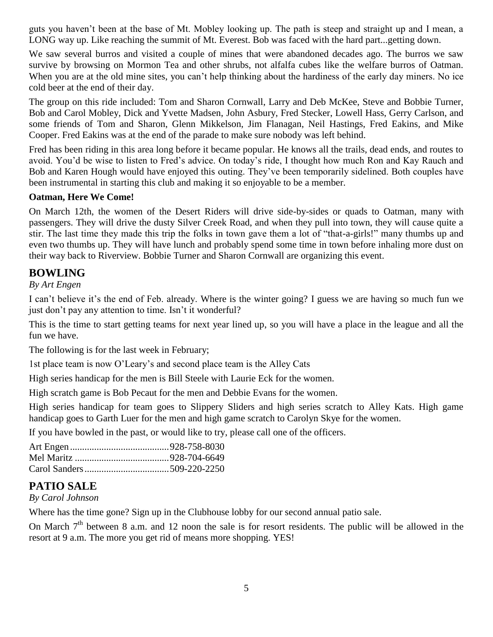guts you haven't been at the base of Mt. Mobley looking up. The path is steep and straight up and I mean, a LONG way up. Like reaching the summit of Mt. Everest. Bob was faced with the hard part...getting down.

We saw several burros and visited a couple of mines that were abandoned decades ago. The burros we saw survive by browsing on Mormon Tea and other shrubs, not alfalfa cubes like the welfare burros of Oatman. When you are at the old mine sites, you can't help thinking about the hardiness of the early day miners. No ice cold beer at the end of their day.

The group on this ride included: Tom and Sharon Cornwall, Larry and Deb McKee, Steve and Bobbie Turner, Bob and Carol Mobley, Dick and Yvette Madsen, John Asbury, Fred Stecker, Lowell Hass, Gerry Carlson, and some friends of Tom and Sharon, Glenn Mikkelson, Jim Flanagan, Neil Hastings, Fred Eakins, and Mike Cooper. Fred Eakins was at the end of the parade to make sure nobody was left behind.

Fred has been riding in this area long before it became popular. He knows all the trails, dead ends, and routes to avoid. You'd be wise to listen to Fred's advice. On today's ride, I thought how much Ron and Kay Rauch and Bob and Karen Hough would have enjoyed this outing. They've been temporarily sidelined. Both couples have been instrumental in starting this club and making it so enjoyable to be a member.

#### **Oatman, Here We Come!**

On March 12th, the women of the Desert Riders will drive side-by-sides or quads to Oatman, many with passengers. They will drive the dusty Silver Creek Road, and when they pull into town, they will cause quite a stir. The last time they made this trip the folks in town gave them a lot of "that-a-girls!" many thumbs up and even two thumbs up. They will have lunch and probably spend some time in town before inhaling more dust on their way back to Riverview. Bobbie Turner and Sharon Cornwall are organizing this event.

### **BOWLING**

#### *By Art Engen*

I can't believe it's the end of Feb. already. Where is the winter going? I guess we are having so much fun we just don't pay any attention to time. Isn't it wonderful?

This is the time to start getting teams for next year lined up, so you will have a place in the league and all the fun we have.

The following is for the last week in February;

1st place team is now O'Leary's and second place team is the Alley Cats

High series handicap for the men is Bill Steele with Laurie Eck for the women.

High scratch game is Bob Pecaut for the men and Debbie Evans for the women.

High series handicap for team goes to Slippery Sliders and high series scratch to Alley Kats. High game handicap goes to Garth Luer for the men and high game scratch to Carolyn Skye for the women.

If you have bowled in the past, or would like to try, please call one of the officers.

### **PATIO SALE**

*By Carol Johnson*

Where has the time gone? Sign up in the Clubhouse lobby for our second annual patio sale.

On March  $7<sup>th</sup>$  between 8 a.m. and 12 noon the sale is for resort residents. The public will be allowed in the resort at 9 a.m. The more you get rid of means more shopping. YES!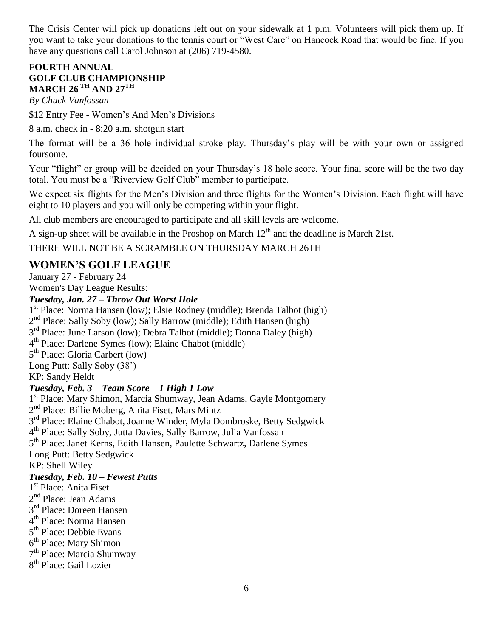The Crisis Center will pick up donations left out on your sidewalk at 1 p.m. Volunteers will pick them up. If you want to take your donations to the tennis court or "West Care" on Hancock Road that would be fine. If you have any questions call Carol Johnson at (206) 719-4580.

### **FOURTH ANNUAL GOLF CLUB CHAMPIONSHIP MARCH 26 TH AND 27TH**

*By Chuck Vanfossan*

\$12 Entry Fee - Women's And Men's Divisions

8 a.m. check in - 8:20 a.m. shotgun start

The format will be a 36 hole individual stroke play. Thursday's play will be with your own or assigned foursome.

Your "flight" or group will be decided on your Thursday's 18 hole score. Your final score will be the two day total. You must be a "Riverview Golf Club" member to participate.

We expect six flights for the Men's Division and three flights for the Women's Division. Each flight will have eight to 10 players and you will only be competing within your flight.

All club members are encouraged to participate and all skill levels are welcome.

A sign-up sheet will be available in the Proshop on March  $12<sup>th</sup>$  and the deadline is March 21st.

#### THERE WILL NOT BE A SCRAMBLE ON THURSDAY MARCH 26TH

### **WOMEN'S GOLF LEAGUE**

January 27 - February 24

Women's Day League Results:

*Tuesday, Jan. 27 – Throw Out Worst Hole*

1 st Place: Norma Hansen (low); Elsie Rodney (middle); Brenda Talbot (high)

2<sup>nd</sup> Place: Sally Soby (low); Sally Barrow (middle); Edith Hansen (high)

3<sup>rd</sup> Place: June Larson (low); Debra Talbot (middle); Donna Daley (high)

4 th Place: Darlene Symes (low); Elaine Chabot (middle)

5<sup>th</sup> Place: Gloria Carbert (low)

Long Putt: Sally Soby (38')

KP: Sandy Heldt

#### *Tuesday, Feb. 3 – Team Score – 1 High 1 Low*

1<sup>st</sup> Place: Mary Shimon, Marcia Shumway, Jean Adams, Gayle Montgomery 2<sup>nd</sup> Place: Billie Moberg, Anita Fiset, Mars Mintz 3<sup>rd</sup> Place: Elaine Chabot, Joanne Winder, Myla Dombroske, Betty Sedgwick 4 th Place: Sally Soby, Jutta Davies, Sally Barrow, Julia Vanfossan 5<sup>th</sup> Place: Janet Kerns, Edith Hansen, Paulette Schwartz, Darlene Symes Long Putt: Betty Sedgwick KP: Shell Wiley *Tuesday, Feb. 10 – Fewest Putts* 1<sup>st</sup> Place: Anita Fiset 2<sup>nd</sup> Place: Jean Adams 3<sup>rd</sup> Place: Doreen Hansen 4<sup>th</sup> Place: Norma Hansen 5<sup>th</sup> Place: Debbie Evans 6<sup>th</sup> Place: Mary Shimon 7<sup>th</sup> Place: Marcia Shumway

8<sup>th</sup> Place: Gail Lozier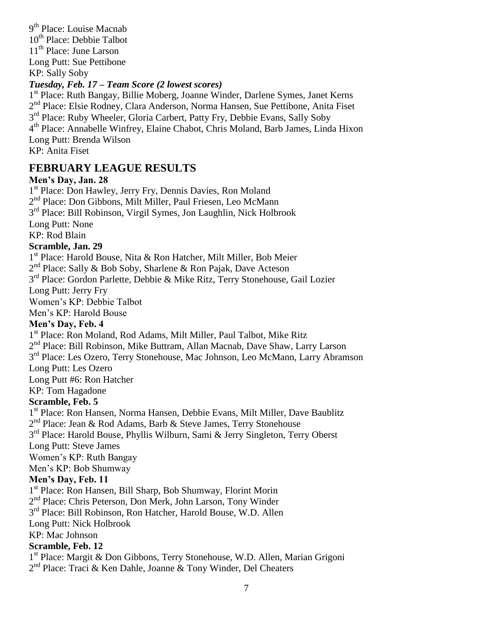9<sup>th</sup> Place: Louise Macnab 10<sup>th</sup> Place: Debbie Talbot 11<sup>th</sup> Place: June Larson Long Putt: Sue Pettibone KP: Sally Soby

#### *Tuesday, Feb. 17 – Team Score (2 lowest scores)*

1<sup>st</sup> Place: Ruth Bangay, Billie Moberg, Joanne Winder, Darlene Symes, Janet Kerns 2<sup>nd</sup> Place: Elsie Rodney, Clara Anderson, Norma Hansen, Sue Pettibone, Anita Fiset 3<sup>rd</sup> Place: Ruby Wheeler, Gloria Carbert, Patty Fry, Debbie Evans, Sally Soby 4 th Place: Annabelle Winfrey, Elaine Chabot, Chris Moland, Barb James, Linda Hixon Long Putt: Brenda Wilson KP: Anita Fiset

### **FEBRUARY LEAGUE RESULTS**

#### **Men's Day, Jan. 28**

1<sup>st</sup> Place: Don Hawley, Jerry Fry, Dennis Davies, Ron Moland 2<sup>nd</sup> Place: Don Gibbons, Milt Miller, Paul Friesen, Leo McMann 3<sup>rd</sup> Place: Bill Robinson, Virgil Symes, Jon Laughlin, Nick Holbrook Long Putt: None KP: Rod Blain

#### **Scramble, Jan. 29**

1<sup>st</sup> Place: Harold Bouse, Nita & Ron Hatcher, Milt Miller, Bob Meier

2<sup>nd</sup> Place: Sally & Bob Soby, Sharlene & Ron Pajak, Dave Acteson

3<sup>rd</sup> Place: Gordon Parlette, Debbie & Mike Ritz, Terry Stonehouse, Gail Lozier

Long Putt: Jerry Fry

Women's KP: Debbie Talbot

Men's KP: Harold Bouse

#### **Men's Day, Feb. 4**

1<sup>st</sup> Place: Ron Moland, Rod Adams, Milt Miller, Paul Talbot, Mike Ritz

2<sup>nd</sup> Place: Bill Robinson, Mike Buttram, Allan Macnab, Dave Shaw, Larry Larson

3<sup>rd</sup> Place: Les Ozero, Terry Stonehouse, Mac Johnson, Leo McMann, Larry Abramson

Long Putt: Les Ozero

Long Putt #6: Ron Hatcher

KP: Tom Hagadone

#### **Scramble, Feb. 5**

1<sup>st</sup> Place: Ron Hansen, Norma Hansen, Debbie Evans, Milt Miller, Dave Baublitz

2<sup>nd</sup> Place: Jean & Rod Adams, Barb & Steve James, Terry Stonehouse

3<sup>rd</sup> Place: Harold Bouse, Phyllis Wilburn, Sami & Jerry Singleton, Terry Oberst

Long Putt: Steve James

Women's KP: Ruth Bangay

Men's KP: Bob Shumway

#### **Men's Day, Feb. 11**

1<sup>st</sup> Place: Ron Hansen, Bill Sharp, Bob Shumway, Florint Morin

2<sup>nd</sup> Place: Chris Peterson, Don Merk, John Larson, Tony Winder

3<sup>rd</sup> Place: Bill Robinson, Ron Hatcher, Harold Bouse, W.D. Allen

Long Putt: Nick Holbrook

KP: Mac Johnson

#### **Scramble, Feb. 12**

1<sup>st</sup> Place: Margit & Don Gibbons, Terry Stonehouse, W.D. Allen, Marian Grigoni 2<sup>nd</sup> Place: Traci & Ken Dahle, Joanne & Tony Winder, Del Cheaters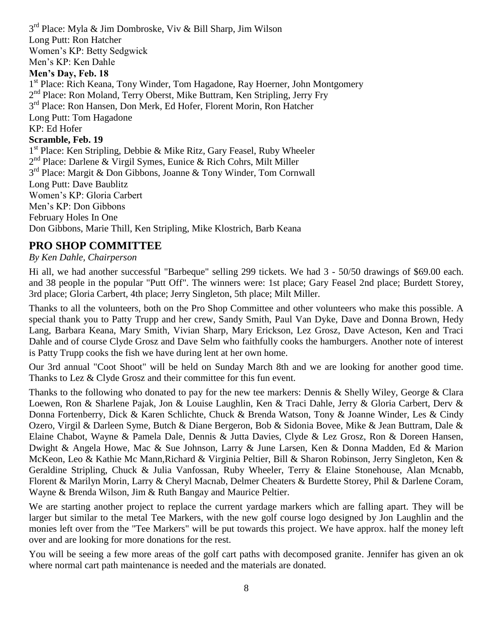3<sup>rd</sup> Place: Myla & Jim Dombroske, Viv & Bill Sharp, Jim Wilson Long Putt: Ron Hatcher Women's KP: Betty Sedgwick Men's KP: Ken Dahle **Men's Day, Feb. 18** 1<sup>st</sup> Place: Rich Keana, Tony Winder, Tom Hagadone, Ray Hoerner, John Montgomery 2<sup>nd</sup> Place: Ron Moland, Terry Oberst, Mike Buttram, Ken Stripling, Jerry Fry 3<sup>rd</sup> Place: Ron Hansen, Don Merk, Ed Hofer, Florent Morin, Ron Hatcher Long Putt: Tom Hagadone KP: Ed Hofer **Scramble, Feb. 19** 1<sup>st</sup> Place: Ken Stripling, Debbie & Mike Ritz, Gary Feasel, Ruby Wheeler 2<sup>nd</sup> Place: Darlene & Virgil Symes, Eunice & Rich Cohrs, Milt Miller 3<sup>rd</sup> Place: Margit & Don Gibbons, Joanne & Tony Winder, Tom Cornwall Long Putt: Dave Baublitz Women's KP: Gloria Carbert Men's KP: Don Gibbons February Holes In One Don Gibbons, Marie Thill, Ken Stripling, Mike Klostrich, Barb Keana

### **PRO SHOP COMMITTEE**

#### *By Ken Dahle, Chairperson*

Hi all, we had another successful "Barbeque" selling 299 tickets. We had 3 - 50/50 drawings of \$69.00 each. and 38 people in the popular "Putt Off". The winners were: 1st place; Gary Feasel 2nd place; Burdett Storey, 3rd place; Gloria Carbert, 4th place; Jerry Singleton, 5th place; Milt Miller.

Thanks to all the volunteers, both on the Pro Shop Committee and other volunteers who make this possible. A special thank you to Patty Trupp and her crew, Sandy Smith, Paul Van Dyke, Dave and Donna Brown, Hedy Lang, Barbara Keana, Mary Smith, Vivian Sharp, Mary Erickson, Lez Grosz, Dave Acteson, Ken and Traci Dahle and of course Clyde Grosz and Dave Selm who faithfully cooks the hamburgers. Another note of interest is Patty Trupp cooks the fish we have during lent at her own home.

Our 3rd annual "Coot Shoot" will be held on Sunday March 8th and we are looking for another good time. Thanks to Lez & Clyde Grosz and their committee for this fun event.

Thanks to the following who donated to pay for the new tee markers: Dennis & Shelly Wiley, George & Clara Loewen, Ron & Sharlene Pajak, Jon & Louise Laughlin, Ken & Traci Dahle, Jerry & Gloria Carbert, Derv & Donna Fortenberry, Dick & Karen Schlichte, Chuck & Brenda Watson, Tony & Joanne Winder, Les & Cindy Ozero, Virgil & Darleen Syme, Butch & Diane Bergeron, Bob & Sidonia Bovee, Mike & Jean Buttram, Dale & Elaine Chabot, Wayne & Pamela Dale, Dennis & Jutta Davies, Clyde & Lez Grosz, Ron & Doreen Hansen, Dwight & Angela Howe, Mac & Sue Johnson, Larry & June Larsen, Ken & Donna Madden, Ed & Marion McKeon, Leo & Kathie Mc Mann,Richard & Virginia Peltier, Bill & Sharon Robinson, Jerry Singleton, Ken & Geraldine Stripling, Chuck & Julia Vanfossan, Ruby Wheeler, Terry & Elaine Stonehouse, Alan Mcnabb, Florent & Marilyn Morin, Larry & Cheryl Macnab, Delmer Cheaters & Burdette Storey, Phil & Darlene Coram, Wayne & Brenda Wilson, Jim & Ruth Bangay and Maurice Peltier.

We are starting another project to replace the current yardage markers which are falling apart. They will be larger but similar to the metal Tee Markers, with the new golf course logo designed by Jon Laughlin and the monies left over from the "Tee Markers" will be put towards this project. We have approx. half the money left over and are looking for more donations for the rest.

You will be seeing a few more areas of the golf cart paths with decomposed granite. Jennifer has given an ok where normal cart path maintenance is needed and the materials are donated.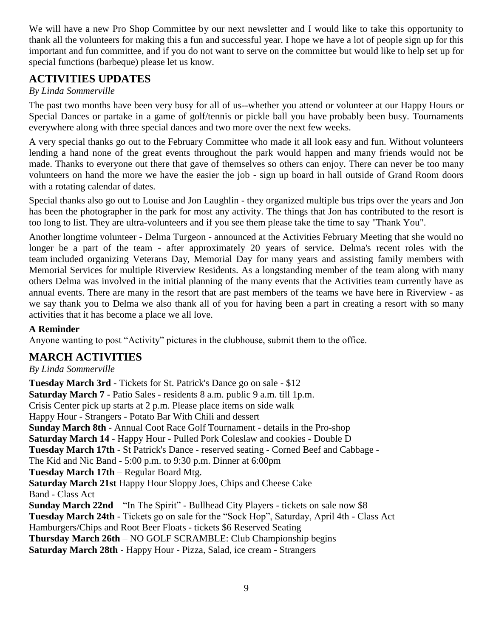We will have a new Pro Shop Committee by our next newsletter and I would like to take this opportunity to thank all the volunteers for making this a fun and successful year. I hope we have a lot of people sign up for this important and fun committee, and if you do not want to serve on the committee but would like to help set up for special functions (barbeque) please let us know.

### **ACTIVITIES UPDATES**

#### *By Linda Sommerville*

The past two months have been very busy for all of us--whether you attend or volunteer at our Happy Hours or Special Dances or partake in a game of golf/tennis or pickle ball you have probably been busy. Tournaments everywhere along with three special dances and two more over the next few weeks.

A very special thanks go out to the February Committee who made it all look easy and fun. Without volunteers lending a hand none of the great events throughout the park would happen and many friends would not be made. Thanks to everyone out there that gave of themselves so others can enjoy. There can never be too many volunteers on hand the more we have the easier the job - sign up board in hall outside of Grand Room doors with a rotating calendar of dates.

Special thanks also go out to Louise and Jon Laughlin - they organized multiple bus trips over the years and Jon has been the photographer in the park for most any activity. The things that Jon has contributed to the resort is too long to list. They are ultra-volunteers and if you see them please take the time to say "Thank You".

Another longtime volunteer - Delma Turgeon - announced at the Activities February Meeting that she would no longer be a part of the team - after approximately 20 years of service. Delma's recent roles with the team included organizing Veterans Day, Memorial Day for many years and assisting family members with Memorial Services for multiple Riverview Residents. As a longstanding member of the team along with many others Delma was involved in the initial planning of the many events that the Activities team currently have as annual events. There are many in the resort that are past members of the teams we have here in Riverview - as we say thank you to Delma we also thank all of you for having been a part in creating a resort with so many activities that it has become a place we all love.

### **A Reminder**

Anyone wanting to post "Activity" pictures in the clubhouse, submit them to the office.

### **MARCH ACTIVITIES**

#### *By Linda Sommerville*

**Tuesday March 3rd** - Tickets for St. Patrick's Dance go on sale - \$12 **Saturday March 7** - Patio Sales - residents 8 a.m. public 9 a.m. till 1p.m. Crisis Center pick up starts at 2 p.m. Please place items on side walk Happy Hour - Strangers - Potato Bar With Chili and dessert **Sunday March 8th** - Annual Coot Race Golf Tournament - details in the Pro-shop **Saturday March 14** - Happy Hour - Pulled Pork Coleslaw and cookies - Double D **Tuesday March 17th** - St Patrick's Dance - reserved seating - Corned Beef and Cabbage - The Kid and Nic Band - 5:00 p.m. to 9:30 p.m. Dinner at 6:00pm **Tuesday March 17th** – Regular Board Mtg. **Saturday March 21st** Happy Hour Sloppy Joes, Chips and Cheese Cake Band - Class Act **Sunday March 22nd** – "In The Spirit" - Bullhead City Players - tickets on sale now \$8 **Tuesday March 24th** - Tickets go on sale for the "Sock Hop", Saturday, April 4th - Class Act – Hamburgers/Chips and Root Beer Floats - tickets \$6 Reserved Seating **Thursday March 26th** – NO GOLF SCRAMBLE: Club Championship begins **Saturday March 28th** - Happy Hour - Pizza, Salad, ice cream - Strangers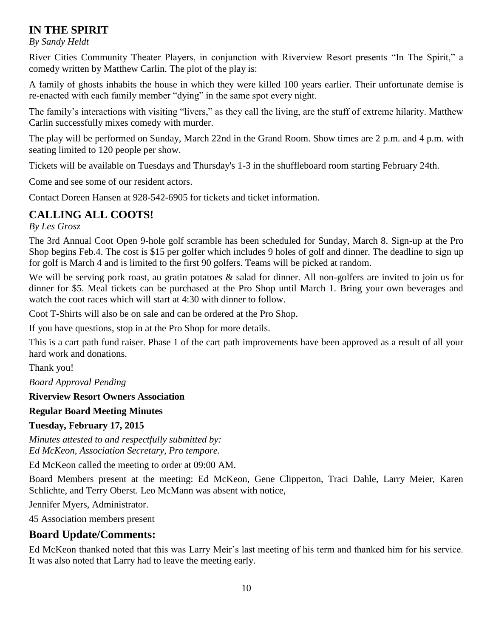### **IN THE SPIRIT**

#### *By Sandy Heldt*

River Cities Community Theater Players, in conjunction with Riverview Resort presents "In The Spirit," a comedy written by Matthew Carlin. The plot of the play is:

A family of ghosts inhabits the house in which they were killed 100 years earlier. Their unfortunate demise is re-enacted with each family member "dying" in the same spot every night.

The family's interactions with visiting "livers," as they call the living, are the stuff of extreme hilarity. Matthew Carlin successfully mixes comedy with murder.

The play will be performed on Sunday, March 22nd in the Grand Room. Show times are 2 p.m. and 4 p.m. with seating limited to 120 people per show.

Tickets will be available on Tuesdays and Thursday's 1-3 in the shuffleboard room starting February 24th.

Come and see some of our resident actors.

Contact Doreen Hansen at 928-542-6905 for tickets and ticket information.

### **CALLING ALL COOTS!**

*By Les Grosz*

The 3rd Annual Coot Open 9-hole golf scramble has been scheduled for Sunday, March 8. Sign-up at the Pro Shop begins Feb.4. The cost is \$15 per golfer which includes 9 holes of golf and dinner. The deadline to sign up for golf is March 4 and is limited to the first 90 golfers. Teams will be picked at random.

We will be serving pork roast, au gratin potatoes & salad for dinner. All non-golfers are invited to join us for dinner for \$5. Meal tickets can be purchased at the Pro Shop until March 1. Bring your own beverages and watch the coot races which will start at 4:30 with dinner to follow.

Coot T-Shirts will also be on sale and can be ordered at the Pro Shop.

If you have questions, stop in at the Pro Shop for more details.

This is a cart path fund raiser. Phase 1 of the cart path improvements have been approved as a result of all your hard work and donations.

Thank you!

*Board Approval Pending*

**Riverview Resort Owners Association**

**Regular Board Meeting Minutes**

**Tuesday, February 17, 2015**

*Minutes attested to and respectfully submitted by: Ed McKeon, Association Secretary, Pro tempore.*

Ed McKeon called the meeting to order at 09:00 AM.

Board Members present at the meeting: Ed McKeon, Gene Clipperton, Traci Dahle, Larry Meier, Karen Schlichte, and Terry Oberst. Leo McMann was absent with notice,

Jennifer Myers, Administrator.

45 Association members present

### **Board Update/Comments:**

Ed McKeon thanked noted that this was Larry Meir's last meeting of his term and thanked him for his service. It was also noted that Larry had to leave the meeting early.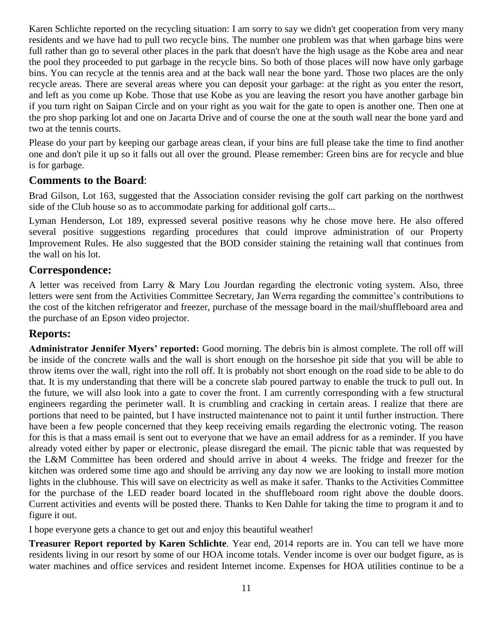Karen Schlichte reported on the recycling situation: I am sorry to say we didn't get cooperation from very many residents and we have had to pull two recycle bins. The number one problem was that when garbage bins were full rather than go to several other places in the park that doesn't have the high usage as the Kobe area and near the pool they proceeded to put garbage in the recycle bins. So both of those places will now have only garbage bins. You can recycle at the tennis area and at the back wall near the bone yard. Those two places are the only recycle areas. There are several areas where you can deposit your garbage: at the right as you enter the resort, and left as you come up Kobe. Those that use Kobe as you are leaving the resort you have another garbage bin if you turn right on Saipan Circle and on your right as you wait for the gate to open is another one. Then one at the pro shop parking lot and one on Jacarta Drive and of course the one at the south wall near the bone yard and two at the tennis courts.

Please do your part by keeping our garbage areas clean, if your bins are full please take the time to find another one and don't pile it up so it falls out all over the ground. Please remember: Green bins are for recycle and blue is for garbage.

### **Comments to the Board**:

Brad Gilson, Lot 163, suggested that the Association consider revising the golf cart parking on the northwest side of the Club house so as to accommodate parking for additional golf carts...

Lyman Henderson, Lot 189, expressed several positive reasons why he chose move here. He also offered several positive suggestions regarding procedures that could improve administration of our Property Improvement Rules. He also suggested that the BOD consider staining the retaining wall that continues from the wall on his lot.

### **Correspondence:**

A letter was received from Larry & Mary Lou Jourdan regarding the electronic voting system. Also, three letters were sent from the Activities Committee Secretary, Jan Werra regarding the committee's contributions to the cost of the kitchen refrigerator and freezer, purchase of the message board in the mail/shuffleboard area and the purchase of an Epson video projector.

### **Reports:**

**Administrator Jennifer Myers' reported:** Good morning. The debris bin is almost complete. The roll off will be inside of the concrete walls and the wall is short enough on the horseshoe pit side that you will be able to throw items over the wall, right into the roll off. It is probably not short enough on the road side to be able to do that. It is my understanding that there will be a concrete slab poured partway to enable the truck to pull out. In the future, we will also look into a gate to cover the front. I am currently corresponding with a few structural engineers regarding the perimeter wall. It is crumbling and cracking in certain areas. I realize that there are portions that need to be painted, but I have instructed maintenance not to paint it until further instruction. There have been a few people concerned that they keep receiving emails regarding the electronic voting. The reason for this is that a mass email is sent out to everyone that we have an email address for as a reminder. If you have already voted either by paper or electronic, please disregard the email. The picnic table that was requested by the L&M Committee has been ordered and should arrive in about 4 weeks. The fridge and freezer for the kitchen was ordered some time ago and should be arriving any day now we are looking to install more motion lights in the clubhouse. This will save on electricity as well as make it safer. Thanks to the Activities Committee for the purchase of the LED reader board located in the shuffleboard room right above the double doors. Current activities and events will be posted there. Thanks to Ken Dahle for taking the time to program it and to figure it out.

I hope everyone gets a chance to get out and enjoy this beautiful weather!

**Treasurer Report reported by Karen Schlichte**. Year end, 2014 reports are in. You can tell we have more residents living in our resort by some of our HOA income totals. Vender income is over our budget figure, as is water machines and office services and resident Internet income. Expenses for HOA utilities continue to be a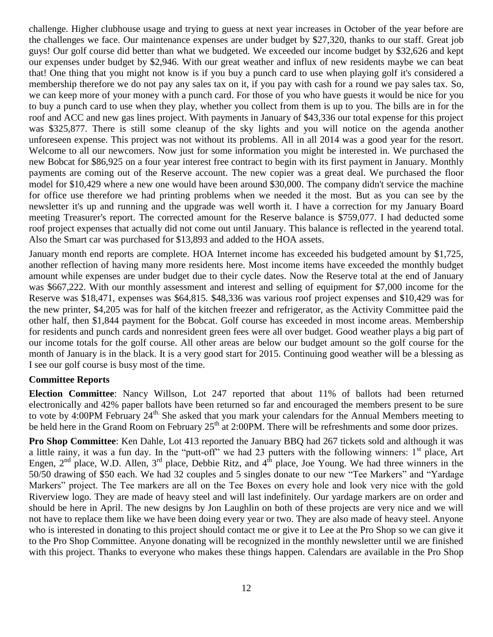challenge. Higher clubhouse usage and trying to guess at next year increases in October of the year before are the challenges we face. Our maintenance expenses are under budget by \$27,320, thanks to our staff. Great job guys! Our golf course did better than what we budgeted. We exceeded our income budget by \$32,626 and kept our expenses under budget by \$2,946. With our great weather and influx of new residents maybe we can beat that! One thing that you might not know is if you buy a punch card to use when playing golf it's considered a membership therefore we do not pay any sales tax on it, if you pay with cash for a round we pay sales tax. So, we can keep more of your money with a punch card. For those of you who have guests it would be nice for you to buy a punch card to use when they play, whether you collect from them is up to you. The bills are in for the roof and ACC and new gas lines project. With payments in January of \$43,336 our total expense for this project was \$325,877. There is still some cleanup of the sky lights and you will notice on the agenda another unforeseen expense. This project was not without its problems. All in all 2014 was a good year for the resort. Welcome to all our newcomers. Now just for some information you might be interested in. We purchased the new Bobcat for \$86,925 on a four year interest free contract to begin with its first payment in January. Monthly payments are coming out of the Reserve account. The new copier was a great deal. We purchased the floor model for \$10,429 where a new one would have been around \$30,000. The company didn't service the machine for office use therefore we had printing problems when we needed it the most. But as you can see by the newsletter it's up and running and the upgrade was well worth it. I have a correction for my January Board meeting Treasurer's report. The corrected amount for the Reserve balance is \$759,077. I had deducted some roof project expenses that actually did not come out until January. This balance is reflected in the yearend total. Also the Smart car was purchased for \$13,893 and added to the HOA assets.

January month end reports are complete. HOA Internet income has exceeded his budgeted amount by \$1,725, another reflection of having many more residents here. Most income items have exceeded the monthly budget amount while expenses are under budget due to their cycle dates. Now the Reserve total at the end of January was \$667,222. With our monthly assessment and interest and selling of equipment for \$7,000 income for the Reserve was \$18,471, expenses was \$64,815. \$48,336 was various roof project expenses and \$10,429 was for the new printer, \$4,205 was for half of the kitchen freezer and refrigerator, as the Activity Committee paid the other half, then \$1,844 payment for the Bobcat. Golf course has exceeded in most income areas. Membership for residents and punch cards and nonresident green fees were all over budget. Good weather plays a big part of our income totals for the golf course. All other areas are below our budget amount so the golf course for the month of January is in the black. It is a very good start for 2015. Continuing good weather will be a blessing as I see our golf course is busy most of the time.

#### **Committee Reports**

**Election Committee**: Nancy Willson, Lot 247 reported that about 11% of ballots had been returned electronically and 42% paper ballots have been returned so far and encouraged the members present to be sure to vote by 4:00PM February 24<sup>th.</sup> She asked that you mark your calendars for the Annual Members meeting to be held here in the Grand Room on February 25<sup>th</sup> at 2:00PM. There will be refreshments and some door prizes.

**Pro Shop Committee**: Ken Dahle, Lot 413 reported the January BBQ had 267 tickets sold and although it was a little rainy, it was a fun day. In the "putt-off" we had 23 putters with the following winners:  $1<sup>st</sup>$  place, Art Engen,  $2^{nd}$  place, W.D. Allen,  $3^{rd}$  place, Debbie Ritz, and  $4^{th}$  place, Joe Young. We had three winners in the 50/50 drawing of \$50 each. We had 32 couples and 5 singles donate to our new "Tee Markers" and "Yardage Markers" project. The Tee markers are all on the Tee Boxes on every hole and look very nice with the gold Riverview logo. They are made of heavy steel and will last indefinitely. Our yardage markers are on order and should be here in April. The new designs by Jon Laughlin on both of these projects are very nice and we will not have to replace them like we have been doing every year or two. They are also made of heavy steel. Anyone who is interested in donating to this project should contact me or give it to Lee at the Pro Shop so we can give it to the Pro Shop Committee. Anyone donating will be recognized in the monthly newsletter until we are finished with this project. Thanks to everyone who makes these things happen. Calendars are available in the Pro Shop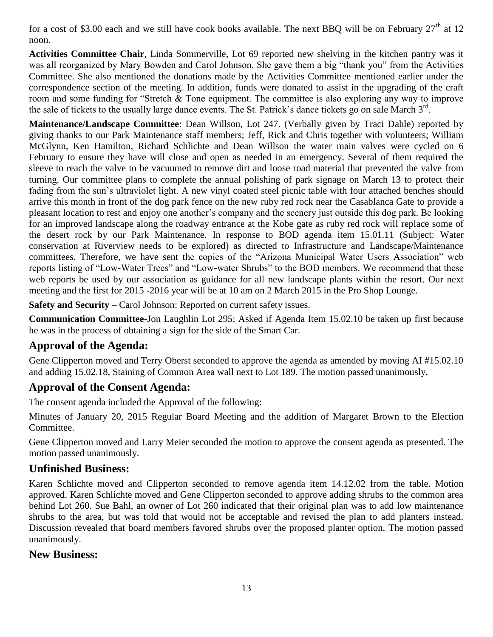for a cost of \$3.00 each and we still have cook books available. The next BBQ will be on February  $27<sup>th</sup>$  at 12 noon.

**Activities Committee Chair**, Linda Sommerville, Lot 69 reported new shelving in the kitchen pantry was it was all reorganized by Mary Bowden and Carol Johnson. She gave them a big "thank you" from the Activities Committee. She also mentioned the donations made by the Activities Committee mentioned earlier under the correspondence section of the meeting. In addition, funds were donated to assist in the upgrading of the craft room and some funding for "Stretch & Tone equipment. The committee is also exploring any way to improve the sale of tickets to the usually large dance events. The St. Patrick's dance tickets go on sale March 3<sup>rd</sup>.

**Maintenance/Landscape Committee**: Dean Willson, Lot 247. (Verbally given by Traci Dahle) reported by giving thanks to our Park Maintenance staff members; Jeff, Rick and Chris together with volunteers; William McGlynn, Ken Hamilton, Richard Schlichte and Dean Willson the water main valves were cycled on 6 February to ensure they have will close and open as needed in an emergency. Several of them required the sleeve to reach the valve to be vacuumed to remove dirt and loose road material that prevented the valve from turning. Our committee plans to complete the annual polishing of park signage on March 13 to protect their fading from the sun's ultraviolet light. A new vinyl coated steel picnic table with four attached benches should arrive this month in front of the dog park fence on the new ruby red rock near the Casablanca Gate to provide a pleasant location to rest and enjoy one another's company and the scenery just outside this dog park. Be looking for an improved landscape along the roadway entrance at the Kobe gate as ruby red rock will replace some of the desert rock by our Park Maintenance. In response to BOD agenda item 15.01.11 (Subject: Water conservation at Riverview needs to be explored) as directed to Infrastructure and Landscape/Maintenance committees. Therefore, we have sent the copies of the "Arizona Municipal Water Users Association" web reports listing of "Low-Water Trees" and "Low-water Shrubs" to the BOD members. We recommend that these web reports be used by our association as guidance for all new landscape plants within the resort. Our next meeting and the first for 2015 -2016 year will be at 10 am on 2 March 2015 in the Pro Shop Lounge.

**Safety and Security** – Carol Johnson: Reported on current safety issues.

**Communication Committee**-Jon Laughlin Lot 295: Asked if Agenda Item 15.02.10 be taken up first because he was in the process of obtaining a sign for the side of the Smart Car.

### **Approval of the Agenda:**

Gene Clipperton moved and Terry Oberst seconded to approve the agenda as amended by moving AI #15.02.10 and adding 15.02.18, Staining of Common Area wall next to Lot 189. The motion passed unanimously.

### **Approval of the Consent Agenda:**

The consent agenda included the Approval of the following:

Minutes of January 20, 2015 Regular Board Meeting and the addition of Margaret Brown to the Election Committee.

Gene Clipperton moved and Larry Meier seconded the motion to approve the consent agenda as presented. The motion passed unanimously.

### **Unfinished Business:**

Karen Schlichte moved and Clipperton seconded to remove agenda item 14.12.02 from the table. Motion approved. Karen Schlichte moved and Gene Clipperton seconded to approve adding shrubs to the common area behind Lot 260. Sue Bahl, an owner of Lot 260 indicated that their original plan was to add low maintenance shrubs to the area, but was told that would not be acceptable and revised the plan to add planters instead. Discussion revealed that board members favored shrubs over the proposed planter option. The motion passed unanimously.

### **New Business:**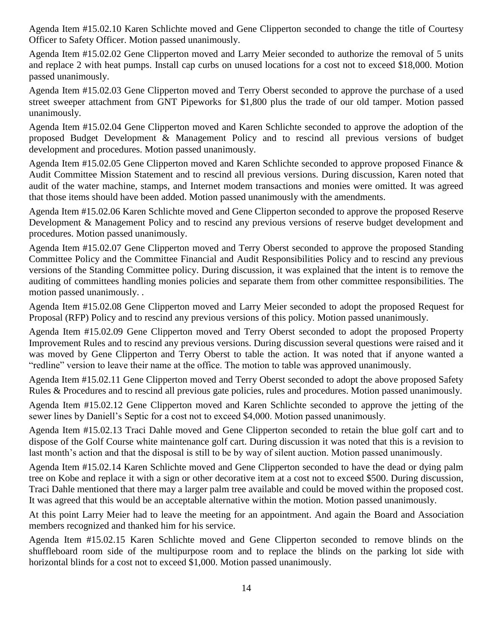Agenda Item #15.02.10 Karen Schlichte moved and Gene Clipperton seconded to change the title of Courtesy Officer to Safety Officer. Motion passed unanimously.

Agenda Item #15.02.02 Gene Clipperton moved and Larry Meier seconded to authorize the removal of 5 units and replace 2 with heat pumps. Install cap curbs on unused locations for a cost not to exceed \$18,000. Motion passed unanimously.

Agenda Item #15.02.03 Gene Clipperton moved and Terry Oberst seconded to approve the purchase of a used street sweeper attachment from GNT Pipeworks for \$1,800 plus the trade of our old tamper. Motion passed unanimously.

Agenda Item #15.02.04 Gene Clipperton moved and Karen Schlichte seconded to approve the adoption of the proposed Budget Development & Management Policy and to rescind all previous versions of budget development and procedures. Motion passed unanimously.

Agenda Item #15.02.05 Gene Clipperton moved and Karen Schlichte seconded to approve proposed Finance & Audit Committee Mission Statement and to rescind all previous versions. During discussion, Karen noted that audit of the water machine, stamps, and Internet modem transactions and monies were omitted. It was agreed that those items should have been added. Motion passed unanimously with the amendments.

Agenda Item #15.02.06 Karen Schlichte moved and Gene Clipperton seconded to approve the proposed Reserve Development & Management Policy and to rescind any previous versions of reserve budget development and procedures. Motion passed unanimously.

Agenda Item #15.02.07 Gene Clipperton moved and Terry Oberst seconded to approve the proposed Standing Committee Policy and the Committee Financial and Audit Responsibilities Policy and to rescind any previous versions of the Standing Committee policy. During discussion, it was explained that the intent is to remove the auditing of committees handling monies policies and separate them from other committee responsibilities. The motion passed unanimously. .

Agenda Item #15.02.08 Gene Clipperton moved and Larry Meier seconded to adopt the proposed Request for Proposal (RFP) Policy and to rescind any previous versions of this policy. Motion passed unanimously.

Agenda Item #15.02.09 Gene Clipperton moved and Terry Oberst seconded to adopt the proposed Property Improvement Rules and to rescind any previous versions. During discussion several questions were raised and it was moved by Gene Clipperton and Terry Oberst to table the action. It was noted that if anyone wanted a "redline" version to leave their name at the office. The motion to table was approved unanimously.

Agenda Item #15.02.11 Gene Clipperton moved and Terry Oberst seconded to adopt the above proposed Safety Rules & Procedures and to rescind all previous gate policies, rules and procedures. Motion passed unanimously.

Agenda Item #15.02.12 Gene Clipperton moved and Karen Schlichte seconded to approve the jetting of the sewer lines by Daniell's Septic for a cost not to exceed \$4,000. Motion passed unanimously.

Agenda Item #15.02.13 Traci Dahle moved and Gene Clipperton seconded to retain the blue golf cart and to dispose of the Golf Course white maintenance golf cart. During discussion it was noted that this is a revision to last month's action and that the disposal is still to be by way of silent auction. Motion passed unanimously.

Agenda Item #15.02.14 Karen Schlichte moved and Gene Clipperton seconded to have the dead or dying palm tree on Kobe and replace it with a sign or other decorative item at a cost not to exceed \$500. During discussion, Traci Dahle mentioned that there may a larger palm tree available and could be moved within the proposed cost. It was agreed that this would be an acceptable alternative within the motion. Motion passed unanimously.

At this point Larry Meier had to leave the meeting for an appointment. And again the Board and Association members recognized and thanked him for his service.

Agenda Item #15.02.15 Karen Schlichte moved and Gene Clipperton seconded to remove blinds on the shuffleboard room side of the multipurpose room and to replace the blinds on the parking lot side with horizontal blinds for a cost not to exceed \$1,000. Motion passed unanimously.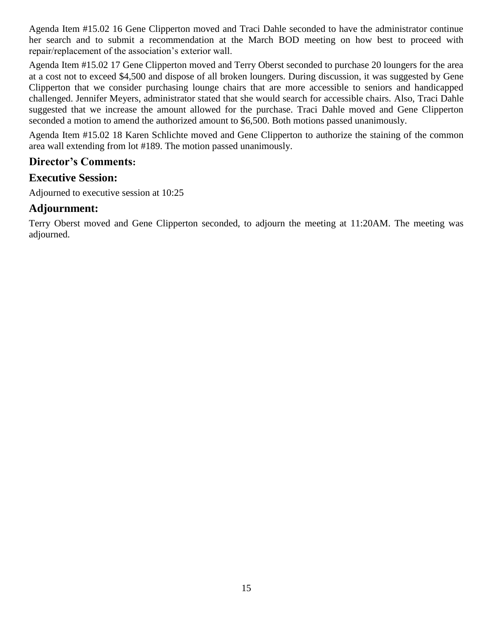Agenda Item #15.02 16 Gene Clipperton moved and Traci Dahle seconded to have the administrator continue her search and to submit a recommendation at the March BOD meeting on how best to proceed with repair/replacement of the association's exterior wall.

Agenda Item #15.02 17 Gene Clipperton moved and Terry Oberst seconded to purchase 20 loungers for the area at a cost not to exceed \$4,500 and dispose of all broken loungers. During discussion, it was suggested by Gene Clipperton that we consider purchasing lounge chairs that are more accessible to seniors and handicapped challenged. Jennifer Meyers, administrator stated that she would search for accessible chairs. Also, Traci Dahle suggested that we increase the amount allowed for the purchase. Traci Dahle moved and Gene Clipperton seconded a motion to amend the authorized amount to \$6,500. Both motions passed unanimously.

Agenda Item #15.02 18 Karen Schlichte moved and Gene Clipperton to authorize the staining of the common area wall extending from lot #189. The motion passed unanimously.

### **Director's Comments:**

### **Executive Session:**

Adjourned to executive session at 10:25

### **Adjournment:**

Terry Oberst moved and Gene Clipperton seconded, to adjourn the meeting at 11:20AM. The meeting was adjourned.